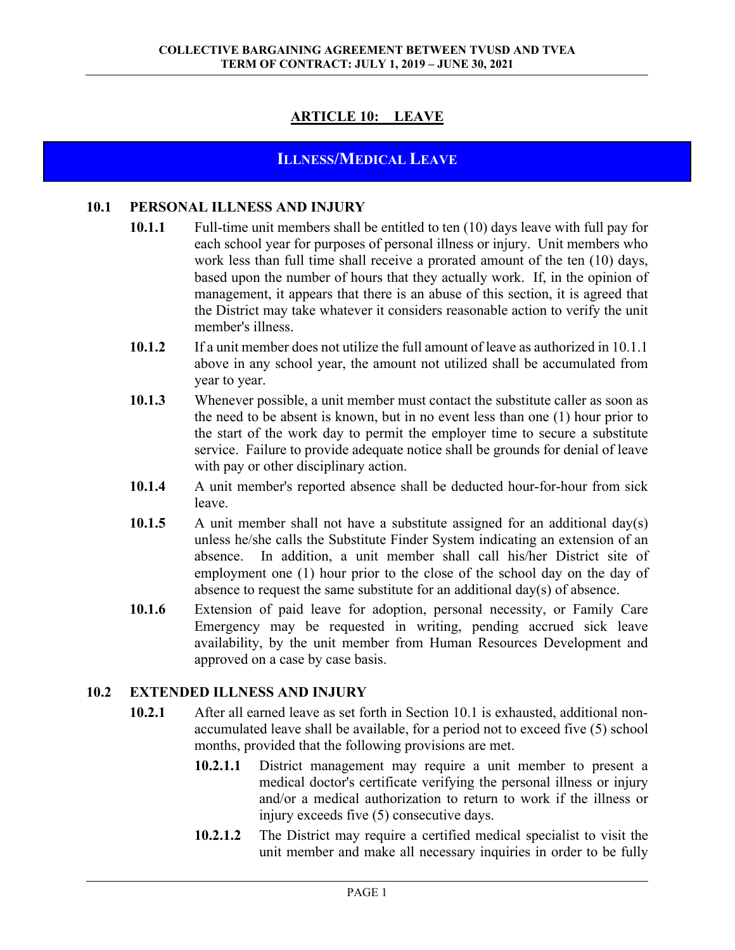# **ARTICLE 10: LEAVE**

# **ILLNESS/MEDICAL LEAVE**

#### **10.1 PERSONAL ILLNESS AND INJURY**

- **10.1.1** Full-time unit members shall be entitled to ten (10) days leave with full pay for each school year for purposes of personal illness or injury. Unit members who work less than full time shall receive a prorated amount of the ten (10) days, based upon the number of hours that they actually work. If, in the opinion of management, it appears that there is an abuse of this section, it is agreed that the District may take whatever it considers reasonable action to verify the unit member's illness.
- **10.1.2** If a unit member does not utilize the full amount of leave as authorized in 10.1.1 above in any school year, the amount not utilized shall be accumulated from year to year.
- **10.1.3** Whenever possible, a unit member must contact the substitute caller as soon as the need to be absent is known, but in no event less than one (1) hour prior to the start of the work day to permit the employer time to secure a substitute service. Failure to provide adequate notice shall be grounds for denial of leave with pay or other disciplinary action.
- **10.1.4** A unit member's reported absence shall be deducted hour-for-hour from sick leave.
- **10.1.5** A unit member shall not have a substitute assigned for an additional day(s) unless he/she calls the Substitute Finder System indicating an extension of an absence. In addition, a unit member shall call his/her District site of employment one (1) hour prior to the close of the school day on the day of absence to request the same substitute for an additional day(s) of absence.
- **10.1.6** Extension of paid leave for adoption, personal necessity, or Family Care Emergency may be requested in writing, pending accrued sick leave availability, by the unit member from Human Resources Development and approved on a case by case basis.

#### **10.2 EXTENDED ILLNESS AND INJURY**

- **10.2.1** After all earned leave as set forth in Section 10.1 is exhausted, additional nonaccumulated leave shall be available, for a period not to exceed five (5) school months, provided that the following provisions are met.
	- **10.2.1.1** District management may require a unit member to present a medical doctor's certificate verifying the personal illness or injury and/or a medical authorization to return to work if the illness or injury exceeds five (5) consecutive days.
	- **10.2.1.2** The District may require a certified medical specialist to visit the unit member and make all necessary inquiries in order to be fully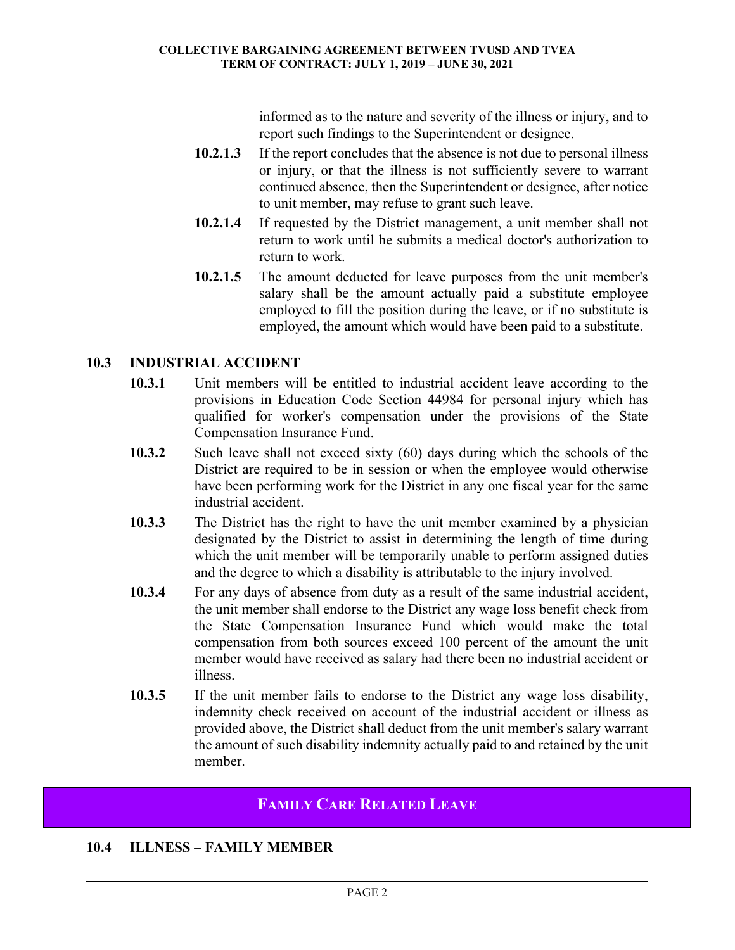informed as to the nature and severity of the illness or injury, and to report such findings to the Superintendent or designee.

- **10.2.1.3** If the report concludes that the absence is not due to personal illness or injury, or that the illness is not sufficiently severe to warrant continued absence, then the Superintendent or designee, after notice to unit member, may refuse to grant such leave.
- **10.2.1.4** If requested by the District management, a unit member shall not return to work until he submits a medical doctor's authorization to return to work.
- **10.2.1.5** The amount deducted for leave purposes from the unit member's salary shall be the amount actually paid a substitute employee employed to fill the position during the leave, or if no substitute is employed, the amount which would have been paid to a substitute.

# **10.3 INDUSTRIAL ACCIDENT**

- **10.3.1** Unit members will be entitled to industrial accident leave according to the provisions in Education Code Section 44984 for personal injury which has qualified for worker's compensation under the provisions of the State Compensation Insurance Fund.
- **10.3.2** Such leave shall not exceed sixty (60) days during which the schools of the District are required to be in session or when the employee would otherwise have been performing work for the District in any one fiscal year for the same industrial accident.
- **10.3.3** The District has the right to have the unit member examined by a physician designated by the District to assist in determining the length of time during which the unit member will be temporarily unable to perform assigned duties and the degree to which a disability is attributable to the injury involved.
- **10.3.4** For any days of absence from duty as a result of the same industrial accident, the unit member shall endorse to the District any wage loss benefit check from the State Compensation Insurance Fund which would make the total compensation from both sources exceed 100 percent of the amount the unit member would have received as salary had there been no industrial accident or illness.
- **10.3.5** If the unit member fails to endorse to the District any wage loss disability, indemnity check received on account of the industrial accident or illness as provided above, the District shall deduct from the unit member's salary warrant the amount of such disability indemnity actually paid to and retained by the unit member.

# **FAMILY CARE RELATED LEAVE**

# **10.4 ILLNESS – FAMILY MEMBER**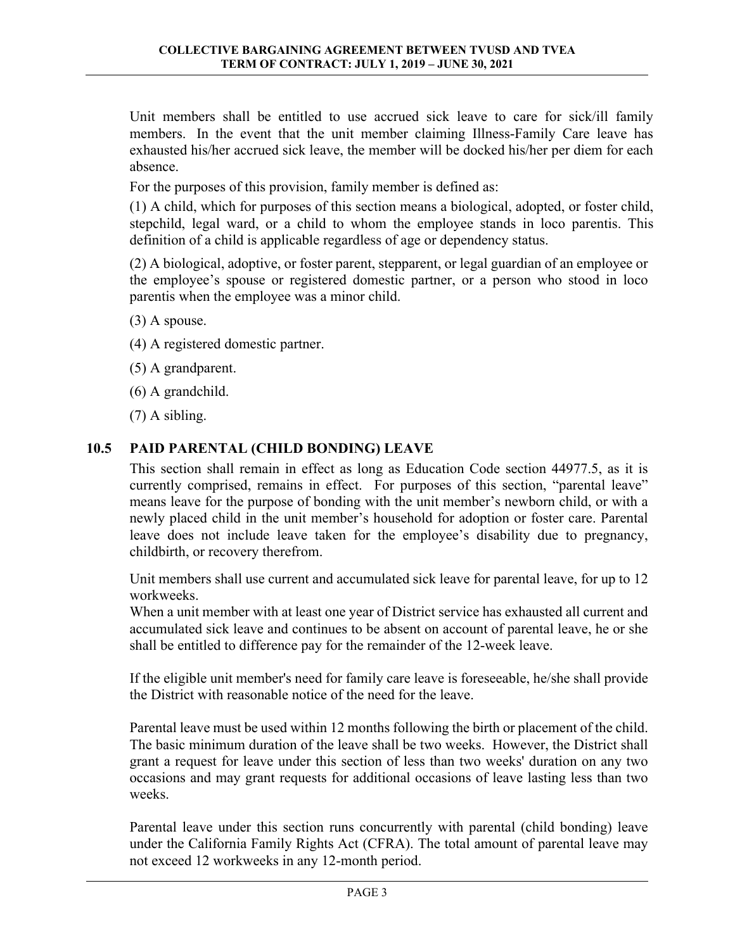Unit members shall be entitled to use accrued sick leave to care for sick/ill family members. In the event that the unit member claiming Illness-Family Care leave has exhausted his/her accrued sick leave, the member will be docked his/her per diem for each absence.

For the purposes of this provision, family member is defined as:

(1) A child, which for purposes of this section means a biological, adopted, or foster child, stepchild, legal ward, or a child to whom the employee stands in loco parentis. This definition of a child is applicable regardless of age or dependency status.

(2) A biological, adoptive, or foster parent, stepparent, or legal guardian of an employee or the employee's spouse or registered domestic partner, or a person who stood in loco parentis when the employee was a minor child.

- (3) A spouse.
- (4) A registered domestic partner.
- (5) A grandparent.
- (6) A grandchild.

(7) A sibling.

#### **10.5 PAID PARENTAL (CHILD BONDING) LEAVE**

This section shall remain in effect as long as Education Code section 44977.5, as it is currently comprised, remains in effect. For purposes of this section, "parental leave" means leave for the purpose of bonding with the unit member's newborn child, or with a newly placed child in the unit member's household for adoption or foster care. Parental leave does not include leave taken for the employee's disability due to pregnancy, childbirth, or recovery therefrom.

Unit members shall use current and accumulated sick leave for parental leave, for up to 12 workweeks.

When a unit member with at least one year of District service has exhausted all current and accumulated sick leave and continues to be absent on account of parental leave, he or she shall be entitled to difference pay for the remainder of the 12-week leave.

If the eligible unit member's need for family care leave is foreseeable, he/she shall provide the District with reasonable notice of the need for the leave.

Parental leave must be used within 12 months following the birth or placement of the child. The basic minimum duration of the leave shall be two weeks. However, the District shall grant a request for leave under this section of less than two weeks' duration on any two occasions and may grant requests for additional occasions of leave lasting less than two weeks.

Parental leave under this section runs concurrently with parental (child bonding) leave under the California Family Rights Act (CFRA). The total amount of parental leave may not exceed 12 workweeks in any 12-month period.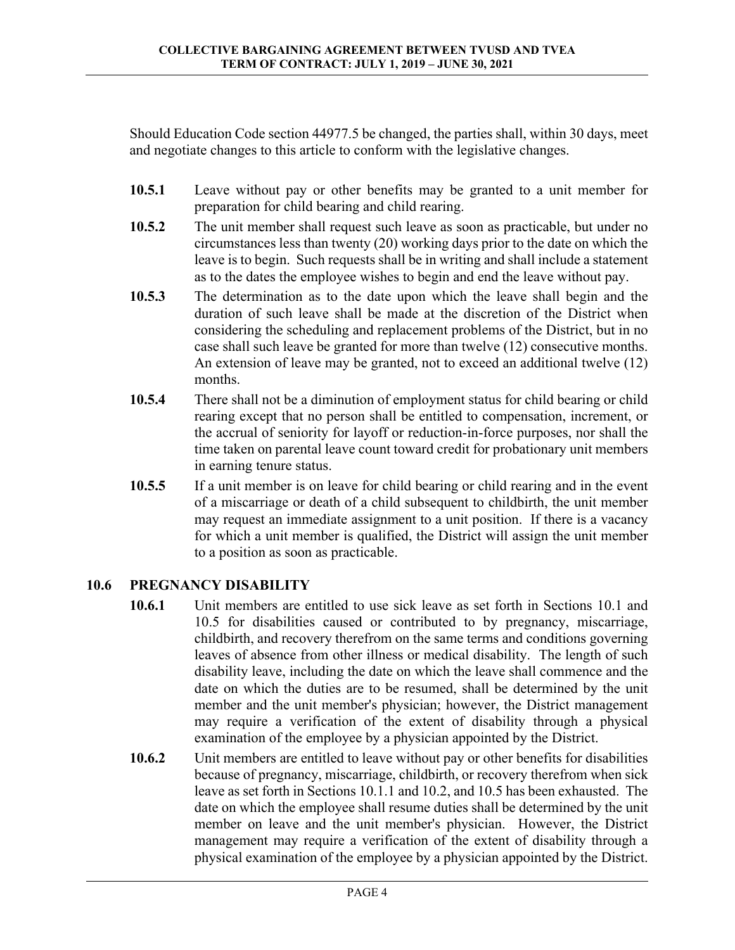Should Education Code section 44977.5 be changed, the parties shall, within 30 days, meet and negotiate changes to this article to conform with the legislative changes.

- **10.5.1** Leave without pay or other benefits may be granted to a unit member for preparation for child bearing and child rearing.
- **10.5.2** The unit member shall request such leave as soon as practicable, but under no circumstances less than twenty (20) working days prior to the date on which the leave is to begin. Such requests shall be in writing and shall include a statement as to the dates the employee wishes to begin and end the leave without pay.
- **10.5.3** The determination as to the date upon which the leave shall begin and the duration of such leave shall be made at the discretion of the District when considering the scheduling and replacement problems of the District, but in no case shall such leave be granted for more than twelve (12) consecutive months. An extension of leave may be granted, not to exceed an additional twelve (12) months.
- **10.5.4** There shall not be a diminution of employment status for child bearing or child rearing except that no person shall be entitled to compensation, increment, or the accrual of seniority for layoff or reduction-in-force purposes, nor shall the time taken on parental leave count toward credit for probationary unit members in earning tenure status.
- **10.5.5** If a unit member is on leave for child bearing or child rearing and in the event of a miscarriage or death of a child subsequent to childbirth, the unit member may request an immediate assignment to a unit position. If there is a vacancy for which a unit member is qualified, the District will assign the unit member to a position as soon as practicable.

#### **10.6 PREGNANCY DISABILITY**

- **10.6.1** Unit members are entitled to use sick leave as set forth in Sections 10.1 and 10.5 for disabilities caused or contributed to by pregnancy, miscarriage, childbirth, and recovery therefrom on the same terms and conditions governing leaves of absence from other illness or medical disability. The length of such disability leave, including the date on which the leave shall commence and the date on which the duties are to be resumed, shall be determined by the unit member and the unit member's physician; however, the District management may require a verification of the extent of disability through a physical examination of the employee by a physician appointed by the District.
- **10.6.2** Unit members are entitled to leave without pay or other benefits for disabilities because of pregnancy, miscarriage, childbirth, or recovery therefrom when sick leave as set forth in Sections 10.1.1 and 10.2, and 10.5 has been exhausted. The date on which the employee shall resume duties shall be determined by the unit member on leave and the unit member's physician. However, the District management may require a verification of the extent of disability through a physical examination of the employee by a physician appointed by the District.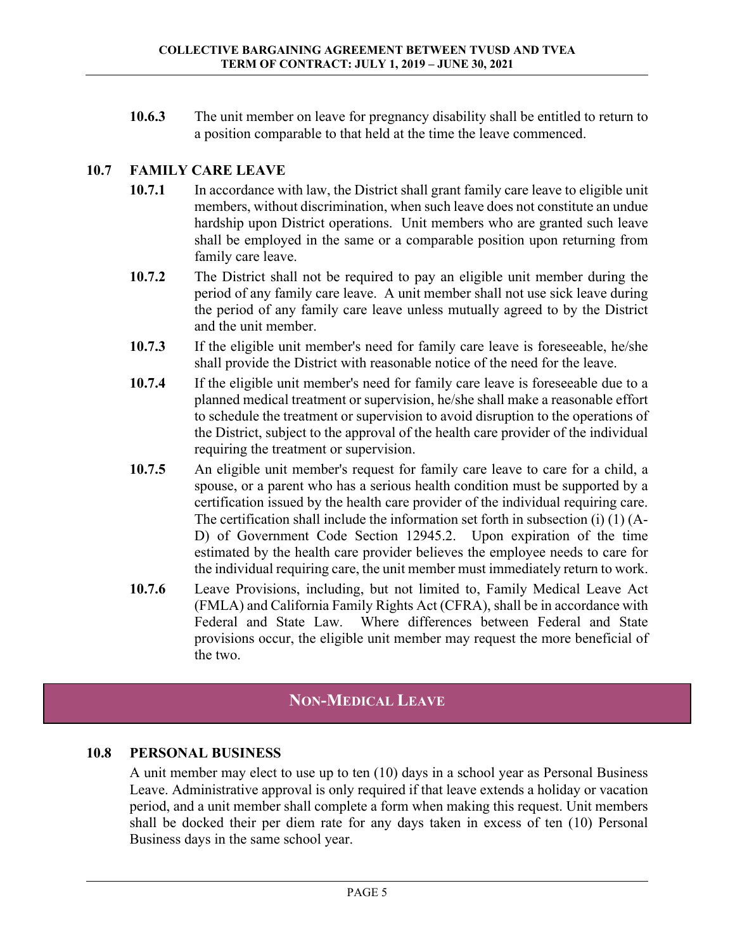**10.6.3** The unit member on leave for pregnancy disability shall be entitled to return to a position comparable to that held at the time the leave commenced.

## **10.7 FAMILY CARE LEAVE**

- **10.7.1** In accordance with law, the District shall grant family care leave to eligible unit members, without discrimination, when such leave does not constitute an undue hardship upon District operations. Unit members who are granted such leave shall be employed in the same or a comparable position upon returning from family care leave.
- **10.7.2** The District shall not be required to pay an eligible unit member during the period of any family care leave. A unit member shall not use sick leave during the period of any family care leave unless mutually agreed to by the District and the unit member.
- **10.7.3** If the eligible unit member's need for family care leave is foreseeable, he/she shall provide the District with reasonable notice of the need for the leave.
- **10.7.4** If the eligible unit member's need for family care leave is foreseeable due to a planned medical treatment or supervision, he/she shall make a reasonable effort to schedule the treatment or supervision to avoid disruption to the operations of the District, subject to the approval of the health care provider of the individual requiring the treatment or supervision.
- **10.7.5** An eligible unit member's request for family care leave to care for a child, a spouse, or a parent who has a serious health condition must be supported by a certification issued by the health care provider of the individual requiring care. The certification shall include the information set forth in subsection (i) (1) (A-D) of Government Code Section 12945.2. Upon expiration of the time estimated by the health care provider believes the employee needs to care for the individual requiring care, the unit member must immediately return to work.
- **10.7.6** Leave Provisions, including, but not limited to, Family Medical Leave Act (FMLA) and California Family Rights Act (CFRA), shall be in accordance with Federal and State Law. Where differences between Federal and State provisions occur, the eligible unit member may request the more beneficial of the two.

# **NON-MEDICAL LEAVE**

#### **10.8 PERSONAL BUSINESS**

A unit member may elect to use up to ten (10) days in a school year as Personal Business Leave. Administrative approval is only required if that leave extends a holiday or vacation period, and a unit member shall complete a form when making this request. Unit members shall be docked their per diem rate for any days taken in excess of ten (10) Personal Business days in the same school year.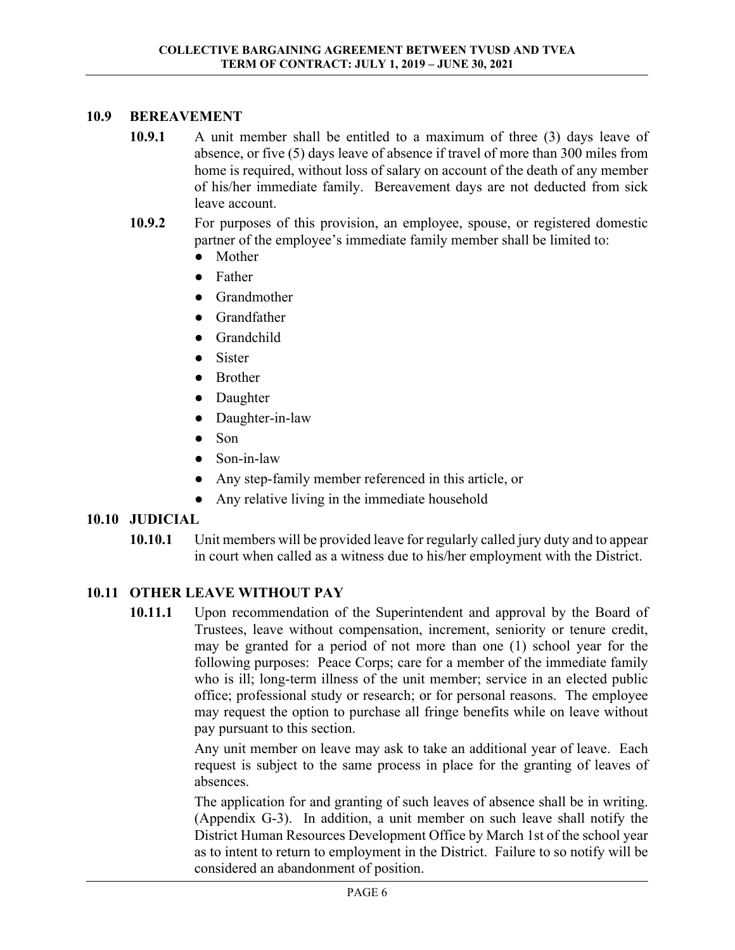#### **10.9 BEREAVEMENT**

- **10.9.1** A unit member shall be entitled to a maximum of three (3) days leave of absence, or five (5) days leave of absence if travel of more than 300 miles from home is required, without loss of salary on account of the death of any member of his/her immediate family. Bereavement days are not deducted from sick leave account.
- **10.9.2** For purposes of this provision, an employee, spouse, or registered domestic partner of the employee's immediate family member shall be limited to:
	- Mother
	- Father
	- Grandmother
	- Grandfather
	- Grandchild
	- **Sister**
	- Brother
	- Daughter
	- Daughter-in-law
	- Son
	- Son-in-law
	- Any step-family member referenced in this article, or
	- Any relative living in the immediate household

#### **10.10 JUDICIAL**

**10.10.1** Unit members will be provided leave for regularly called jury duty and to appear in court when called as a witness due to his/her employment with the District.

# **10.11 OTHER LEAVE WITHOUT PAY**

**10.11.1** Upon recommendation of the Superintendent and approval by the Board of Trustees, leave without compensation, increment, seniority or tenure credit, may be granted for a period of not more than one (1) school year for the following purposes: Peace Corps; care for a member of the immediate family who is ill; long-term illness of the unit member; service in an elected public office; professional study or research; or for personal reasons. The employee may request the option to purchase all fringe benefits while on leave without pay pursuant to this section.

> Any unit member on leave may ask to take an additional year of leave. Each request is subject to the same process in place for the granting of leaves of absences.

> The application for and granting of such leaves of absence shall be in writing. (Appendix G-3). In addition, a unit member on such leave shall notify the District Human Resources Development Office by March 1st of the school year as to intent to return to employment in the District. Failure to so notify will be considered an abandonment of position.